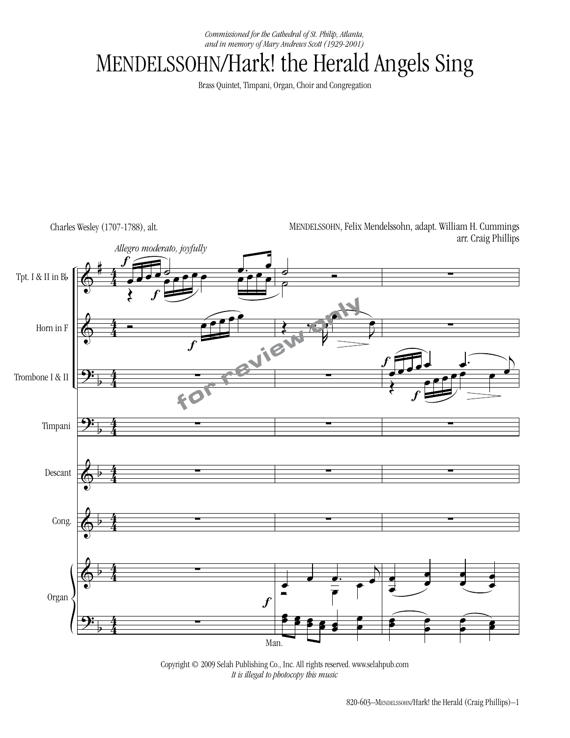*Commissioned for the Cathedral of St. Philip, Atlanta, and in memory of Mary Andrews Scott (1929-2001)*

## MENDELSSOHN/Hark! the Herald Angels Sing

Brass Quintet, Timpani, Organ, Choir and Congregation

Charles Wesley (1707-1788), alt.

MENDELSSOHN, Felix Mendelssohn, adapt. William H. Cummings arr. Craig Phillips



Copyright © 2009 Selah Publishing Co., Inc. All rights reserved. www.selahpub.com *It is illegal to photocopy this music*  $\mathcal{Q}$  is in the U.S.A. on  $\mathcal{Q}$  is in the photocopy this music.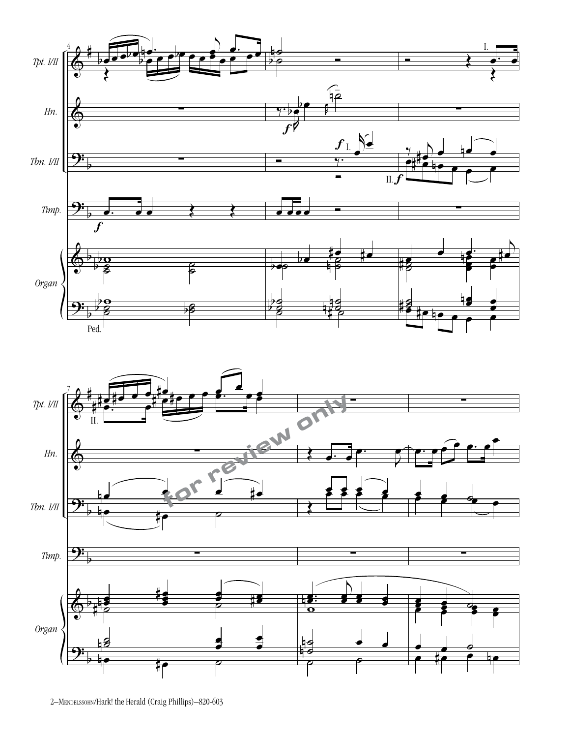



2–Mendelssohn/Hark! the Herald (Craig Phillips)–820-603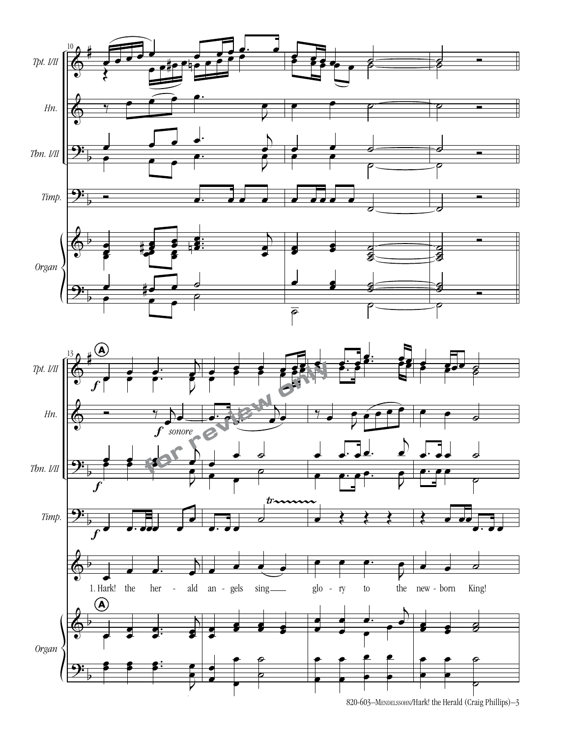



820-603-MENDELSSOHN/Hark! the Herald (Craig Phillips)-3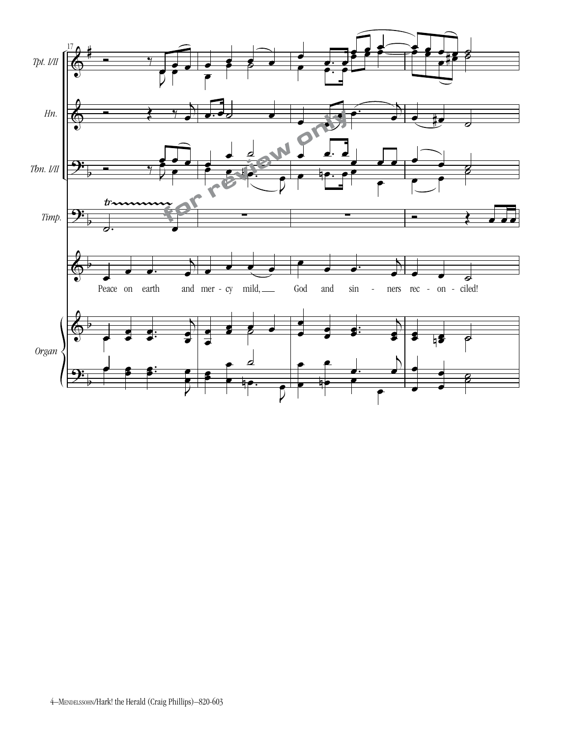